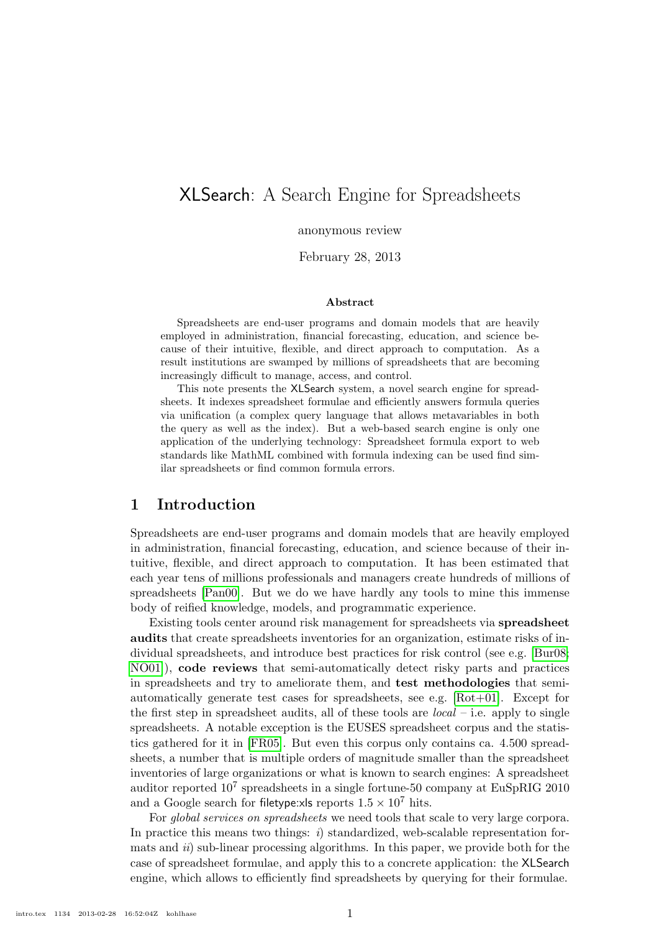# XLSearch: A Search Engine for Spreadsheets

anonymous review

February 28, 2013

#### Abstract

Spreadsheets are end-user programs and domain models that are heavily employed in administration, financial forecasting, education, and science because of their intuitive, flexible, and direct approach to computation. As a result institutions are swamped by millions of spreadsheets that are becoming increasingly difficult to manage, access, and control.

This note presents the XLSearch system, a novel search engine for spreadsheets. It indexes spreadsheet formulae and efficiently answers formula queries via unification (a complex query language that allows metavariables in both the query as well as the index). But a web-based search engine is only one application of the underlying technology: Spreadsheet formula export to web standards like MathML combined with formula indexing can be used find similar spreadsheets or find common formula errors.

### <span id="page-0-0"></span>1 Introduction

Spreadsheets are end-user programs and domain models that are heavily employed in administration, financial forecasting, education, and science because of their intuitive, flexible, and direct approach to computation. It has been estimated that each year tens of millions professionals and managers create hundreds of millions of spreadsheets [\[Pan00\]](#page-11-0). But we do we have hardly any tools to mine this immense body of reified knowledge, models, and programmatic experience.

Existing tools center around risk management for spreadsheets via spreadsheet audits that create spreadsheets inventories for an organization, estimate risks of individual spreadsheets, and introduce best practices for risk control (see e.g. [\[Bur08;](#page-10-0) [NO01\]](#page-11-1)), code reviews that semi-automatically detect risky parts and practices in spreadsheets and try to ameliorate them, and test methodologies that semiautomatically generate test cases for spreadsheets, see e.g. [\[Rot+01\]](#page-11-2). Except for the first step in spreadsheet audits, all of these tools are  $local$  – i.e. apply to single spreadsheets. A notable exception is the EUSES spreadsheet corpus and the statistics gathered for it in [\[FR05\]](#page-10-1). But even this corpus only contains ca. 4.500 spreadsheets, a number that is multiple orders of magnitude smaller than the spreadsheet inventories of large organizations or what is known to search engines: A spreadsheet auditor reported  $10^7$  spreadsheets in a single fortune-50 company at EuSpRIG 2010 and a Google search for filetype:xls reports  $1.5 \times 10^7$  hits.

For *global services on spreadsheets* we need tools that scale to very large corpora. In practice this means two things:  $i)$  standardized, web-scalable representation formats and *ii*) sub-linear processing algorithms. In this paper, we provide both for the case of spreadsheet formulae, and apply this to a concrete application: the XLSearch engine, which allows to efficiently find spreadsheets by querying for their formulae.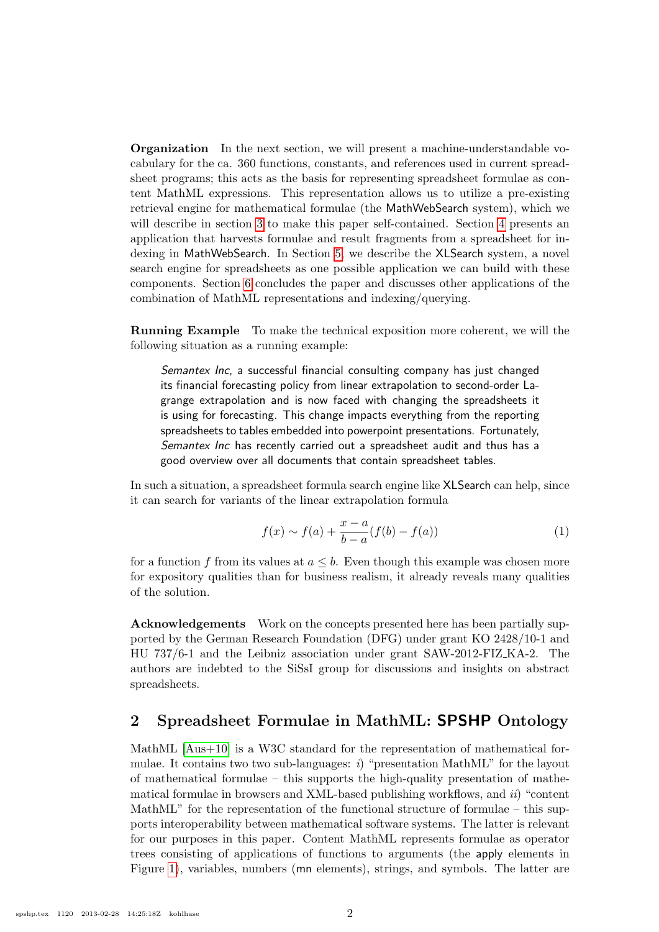Organization In the next section, we will present a machine-understandable vocabulary for the ca. 360 functions, constants, and references used in current spreadsheet programs; this acts as the basis for representing spreadsheet formulae as content MathML expressions. This representation allows us to utilize a pre-existing retrieval engine for mathematical formulae (the MathWebSearch system), which we will describe in section [3](#page-4-0) to make this paper self-contained. Section [4](#page-4-1) presents an application that harvests formulae and result fragments from a spreadsheet for indexing in MathWebSearch. In Section [5,](#page-7-0) we describe the XLSearch system, a novel search engine for spreadsheets as one possible application we can build with these components. Section [6](#page-9-0) concludes the paper and discusses other applications of the combination of MathML representations and indexing/querying.

Running Example To make the technical exposition more coherent, we will the following situation as a running example:

Semantex Inc, a successful financial consulting company has just changed its financial forecasting policy from linear extrapolation to second-order Lagrange extrapolation and is now faced with changing the spreadsheets it is using for forecasting. This change impacts everything from the reporting spreadsheets to tables embedded into powerpoint presentations. Fortunately, Semantex Inc has recently carried out a spreadsheet audit and thus has a good overview over all documents that contain spreadsheet tables.

In such a situation, a spreadsheet formula search engine like XLSearch can help, since it can search for variants of the linear extrapolation formula

$$
f(x) \sim f(a) + \frac{x - a}{b - a}(f(b) - f(a))
$$
 (1)

for a function f from its values at  $a \leq b$ . Even though this example was chosen more for expository qualities than for business realism, it already reveals many qualities of the solution.

Acknowledgements Work on the concepts presented here has been partially supported by the German Research Foundation (DFG) under grant KO 2428/10-1 and HU 737/6-1 and the Leibniz association under grant SAW-2012-FIZ KA-2. The authors are indebted to the SiSsI group for discussions and insights on abstract spreadsheets.

### <span id="page-1-0"></span>2 Spreadsheet Formulae in MathML: SPSHP Ontology

MathML [\[Aus+10\]](#page-10-2) is a W3C standard for the representation of mathematical formulae. It contains two two sub-languages: i) "presentation MathML" for the layout of mathematical formulae – this supports the high-quality presentation of mathematical formulae in browsers and XML-based publishing workflows, and  $ii$ ) "content MathML" for the representation of the functional structure of formulae – this supports interoperability between mathematical software systems. The latter is relevant for our purposes in this paper. Content MathML represents formulae as operator trees consisting of applications of functions to arguments (the apply elements in Figure [1\)](#page-2-0), variables, numbers (mn elements), strings, and symbols. The latter are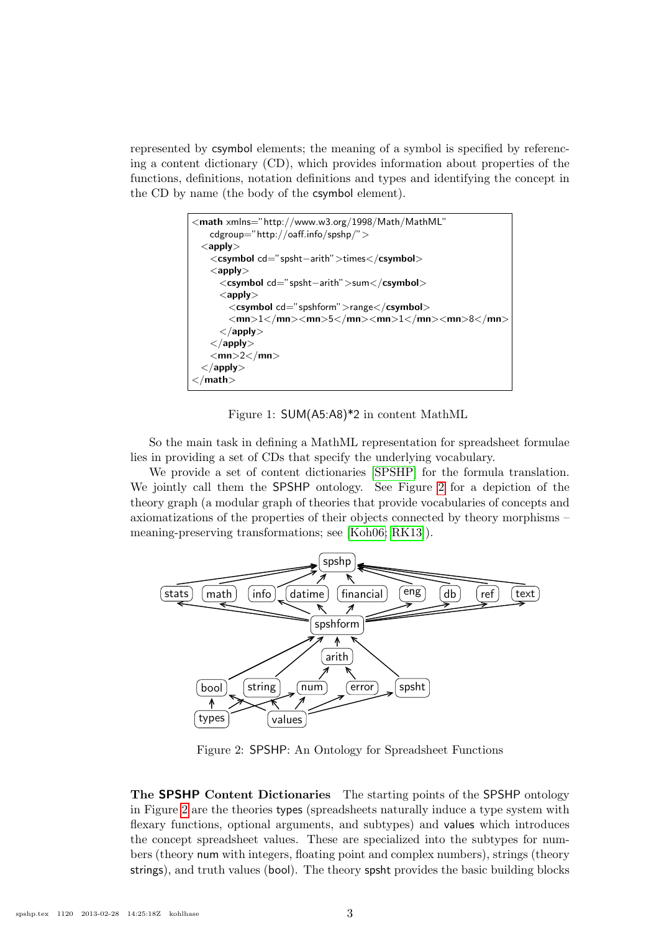represented by csymbol elements; the meaning of a symbol is specified by referencing a content dictionary (CD), which provides information about properties of the functions, definitions, notation definitions and types and identifying the concept in the CD by name (the body of the csymbol element).

<span id="page-2-0"></span>Figure 1: SUM(A5:A8)\*2 in content MathML

So the main task in defining a MathML representation for spreadsheet formulae lies in providing a set of CDs that specify the underlying vocabulary.

We provide a set of content dictionaries [\[SPSHP\]](#page-11-3) for the formula translation. We jointly call them the SPSHP ontology. See Figure [2](#page-2-1) for a depiction of the theory graph (a modular graph of theories that provide vocabularies of concepts and axiomatizations of the properties of their objects connected by theory morphisms – meaning-preserving transformations; see [\[Koh06;](#page-11-4) [RK13\]](#page-11-5)).



<span id="page-2-1"></span>Figure 2: SPSHP: An Ontology for Spreadsheet Functions

The SPSHP Content Dictionaries The starting points of the SPSHP ontology in Figure [2](#page-2-1) are the theories types (spreadsheets naturally induce a type system with flexary functions, optional arguments, and subtypes) and values which introduces the concept spreadsheet values. These are specialized into the subtypes for numbers (theory num with integers, floating point and complex numbers), strings (theory strings), and truth values (bool). The theory spsht provides the basic building blocks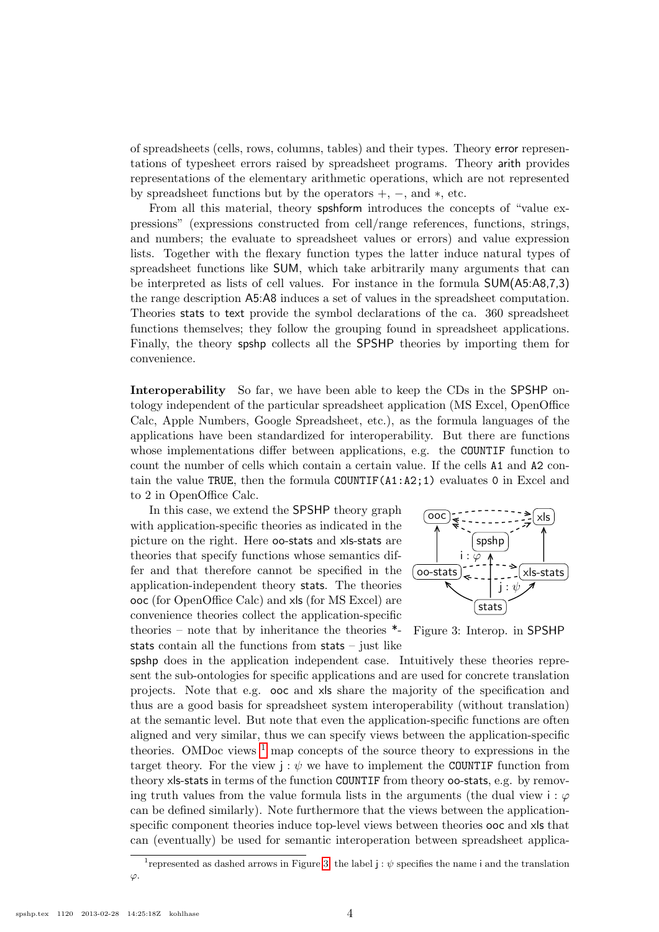of spreadsheets (cells, rows, columns, tables) and their types. Theory error representations of typesheet errors raised by spreadsheet programs. Theory arith provides representations of the elementary arithmetic operations, which are not represented by spreadsheet functions but by the operators  $+$ ,  $-$ , and  $*$ , etc.

From all this material, theory spshform introduces the concepts of "value expressions" (expressions constructed from cell/range references, functions, strings, and numbers; the evaluate to spreadsheet values or errors) and value expression lists. Together with the flexary function types the latter induce natural types of spreadsheet functions like SUM, which take arbitrarily many arguments that can be interpreted as lists of cell values. For instance in the formula SUM(A5:A8,7,3) the range description A5:A8 induces a set of values in the spreadsheet computation. Theories stats to text provide the symbol declarations of the ca. 360 spreadsheet functions themselves; they follow the grouping found in spreadsheet applications. Finally, the theory spshp collects all the SPSHP theories by importing them for convenience.

Interoperability So far, we have been able to keep the CDs in the SPSHP ontology independent of the particular spreadsheet application (MS Excel, OpenOffice Calc, Apple Numbers, Google Spreadsheet, etc.), as the formula languages of the applications have been standardized for interoperability. But there are functions whose implementations differ between applications, e.g. the COUNTIF function to count the number of cells which contain a certain value. If the cells A1 and A2 contain the value TRUE, then the formula COUNTIF(A1:A2;1) evaluates 0 in Excel and to 2 in OpenOffice Calc.

In this case, we extend the SPSHP theory graph with application-specific theories as indicated in the picture on the right. Here oo-stats and xls-stats are theories that specify functions whose semantics differ and that therefore cannot be specified in the application-independent theory stats. The theories ooc (for OpenOffice Calc) and xls (for MS Excel) are convenience theories collect the application-specific theories – note that by inheritance the theories \* stats contain all the functions from stats – just like



<span id="page-3-1"></span>Figure 3: Interop. in SPSHP

spshp does in the application independent case. Intuitively these theories represent the sub-ontologies for specific applications and are used for concrete translation projects. Note that e.g. ooc and xls share the majority of the specification and thus are a good basis for spreadsheet system interoperability (without translation) at the semantic level. But note that even the application-specific functions are often aligned and very similar, thus we can specify views between the application-specific theories. OMDoc views  $<sup>1</sup>$  $<sup>1</sup>$  $<sup>1</sup>$  map concepts of the source theory to expressions in the</sup> target theory. For the view  $j : \psi$  we have to implement the COUNTIF function from theory xls-stats in terms of the function COUNTIF from theory oo-stats, e.g. by removing truth values from the value formula lists in the arguments (the dual view i:  $\varphi$ can be defined similarly). Note furthermore that the views between the applicationspecific component theories induce top-level views between theories ooc and xls that can (eventually) be used for semantic interoperation between spreadsheet applica-

<span id="page-3-0"></span><sup>&</sup>lt;sup>1</sup> represented as dashed arrows in Figure [3;](#page-3-1) the label  $j : \psi$  specifies the name i and the translation  $\varphi$ .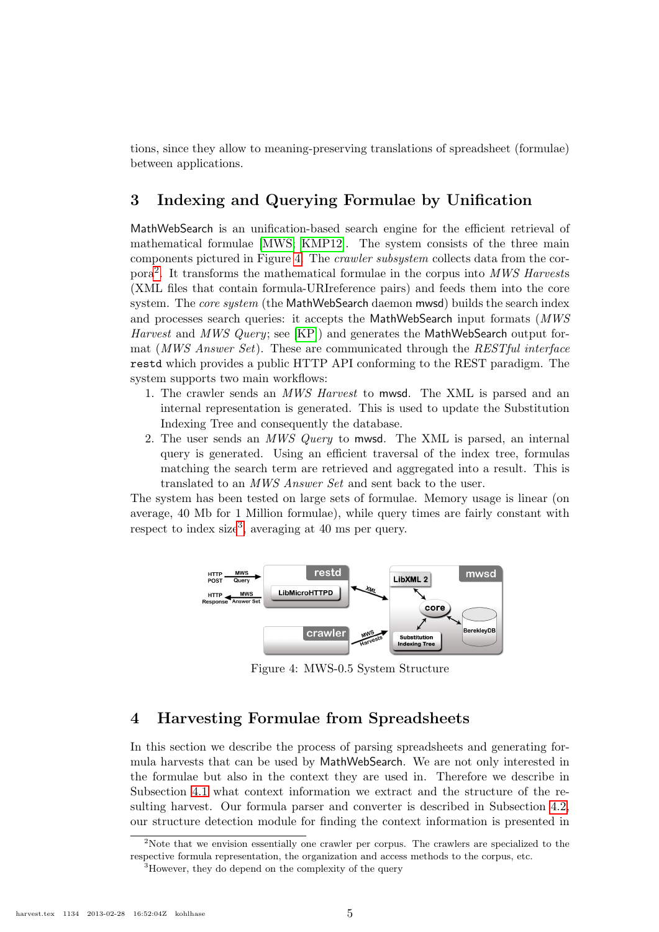tions, since they allow to meaning-preserving translations of spreadsheet (formulae) between applications.

## <span id="page-4-0"></span>3 Indexing and Querying Formulae by Unification

MathWebSearch is an unification-based search engine for the efficient retrieval of mathematical formulae [\[MWS;](#page-11-6) [KMP12\]](#page-10-3). The system consists of the three main components pictured in Figure [4.](#page-4-2) The crawler subsystem collects data from the corpora[2](#page-4-3) . It transforms the mathematical formulae in the corpus into MWS Harvests (XML files that contain formula-URIreference pairs) and feeds them into the core system. The *core system* (the MathWebSearch daemon mwsd) builds the search index and processes search queries: it accepts the MathWebSearch input formats (MWS Harvest and MWS Query; see [\[KP\]](#page-11-7)) and generates the MathWebSearch output format (*MWS Answer Set*). These are communicated through the *RESTful interface* restd which provides a public HTTP API conforming to the REST paradigm. The system supports two main workflows:

- 1. The crawler sends an MWS Harvest to mwsd. The XML is parsed and an internal representation is generated. This is used to update the Substitution Indexing Tree and consequently the database.
- 2. The user sends an *MWS Query* to mwsd. The XML is parsed, an internal query is generated. Using an efficient traversal of the index tree, formulas matching the search term are retrieved and aggregated into a result. This is translated to an MWS Answer Set and sent back to the user.

The system has been tested on large sets of formulae. Memory usage is linear (on average, 40 Mb for 1 Million formulae), while query times are fairly constant with respect to index size<sup>[3](#page-4-4)</sup>, averaging at 40 ms per query.



<span id="page-4-2"></span>Figure 4: MWS-0.5 System Structure

### <span id="page-4-1"></span>4 Harvesting Formulae from Spreadsheets

In this section we describe the process of parsing spreadsheets and generating formula harvests that can be used by MathWebSearch. We are not only interested in the formulae but also in the context they are used in. Therefore we describe in Subsection [4.1](#page-5-0) what context information we extract and the structure of the resulting harvest. Our formula parser and converter is described in Subsection [4.2,](#page-6-0) our structure detection module for finding the context information is presented in

<span id="page-4-3"></span><sup>&</sup>lt;sup>2</sup>Note that we envision essentially one crawler per corpus. The crawlers are specialized to the respective formula representation, the organization and access methods to the corpus, etc.

<span id="page-4-4"></span><sup>&</sup>lt;sup>3</sup>However, they do depend on the complexity of the query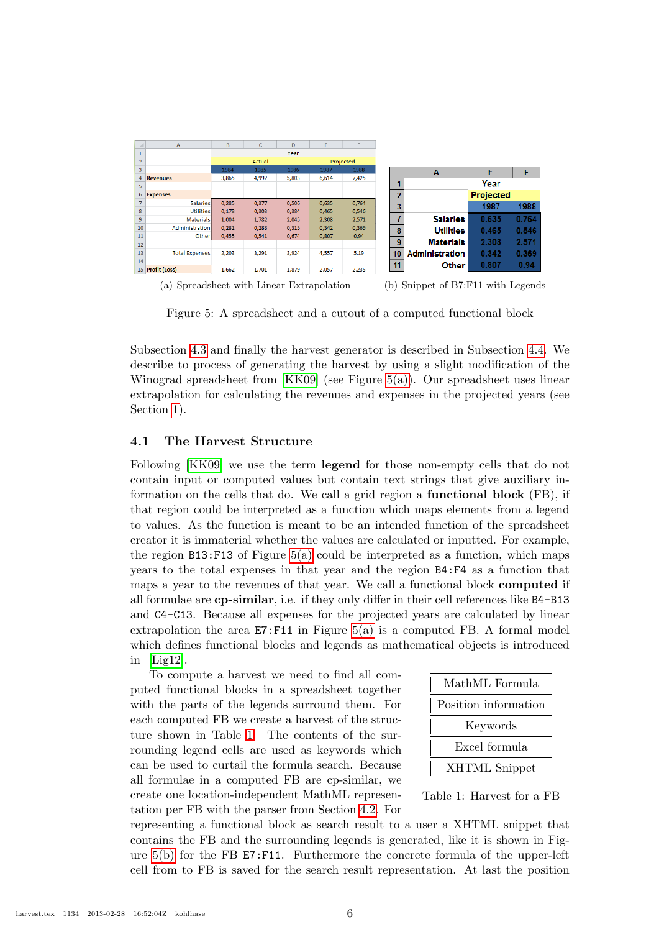<span id="page-5-1"></span>

(a) Spreadsheet with Linear Extrapolation (b) Snippet of B7:F11 with Legends

<span id="page-5-3"></span>Figure 5: A spreadsheet and a cutout of a computed functional block

Subsection [4.3](#page-6-1) and finally the harvest generator is described in Subsection [4.4.](#page-7-1) We describe to process of generating the harvest by using a slight modification of the Winograd spreadsheet from [\[KK09\]](#page-10-4) (see Figure [5\(a\)\)](#page-5-1). Our spreadsheet uses linear extrapolation for calculating the revenues and expenses in the projected years (see Section [1\)](#page-0-0).

#### <span id="page-5-0"></span>4.1 The Harvest Structure

Following [\[KK09\]](#page-10-4) we use the term legend for those non-empty cells that do not contain input or computed values but contain text strings that give auxiliary information on the cells that do. We call a grid region a functional block (FB), if that region could be interpreted as a function which maps elements from a legend to values. As the function is meant to be an intended function of the spreadsheet creator it is immaterial whether the values are calculated or inputted. For example, the region  $B13: F13$  of Figure [5\(a\)](#page-5-1) could be interpreted as a function, which maps years to the total expenses in that year and the region B4:F4 as a function that maps a year to the revenues of that year. We call a functional block computed if all formulae are cp-similar, i.e. if they only differ in their cell references like B4-B13 and C4-C13. Because all expenses for the projected years are calculated by linear extrapolation the area  $E7:F11$  in Figure [5\(a\)](#page-5-1) is a computed FB. A formal model which defines functional blocks and legends as mathematical objects is introduced in [\[Lig12\]](#page-11-8).

To compute a harvest we need to find all computed functional blocks in a spreadsheet together with the parts of the legends surround them. For each computed FB we create a harvest of the structure shown in Table [1.](#page-5-2) The contents of the surrounding legend cells are used as keywords which can be used to curtail the formula search. Because all formulae in a computed FB are cp-similar, we create one location-independent MathML representation per FB with the parser from Section [4.2.](#page-6-0) For

| MathML Formula       |
|----------------------|
| Position information |
| Keywords             |
| Excel formula        |
| <b>XHTML</b> Snippet |

<span id="page-5-2"></span>Table 1: Harvest for a FB

representing a functional block as search result to a user a XHTML snippet that contains the FB and the surrounding legends is generated, like it is shown in Figure [5\(b\)](#page-5-3) for the FB E7:F11. Furthermore the concrete formula of the upper-left cell from to FB is saved for the search result representation. At last the position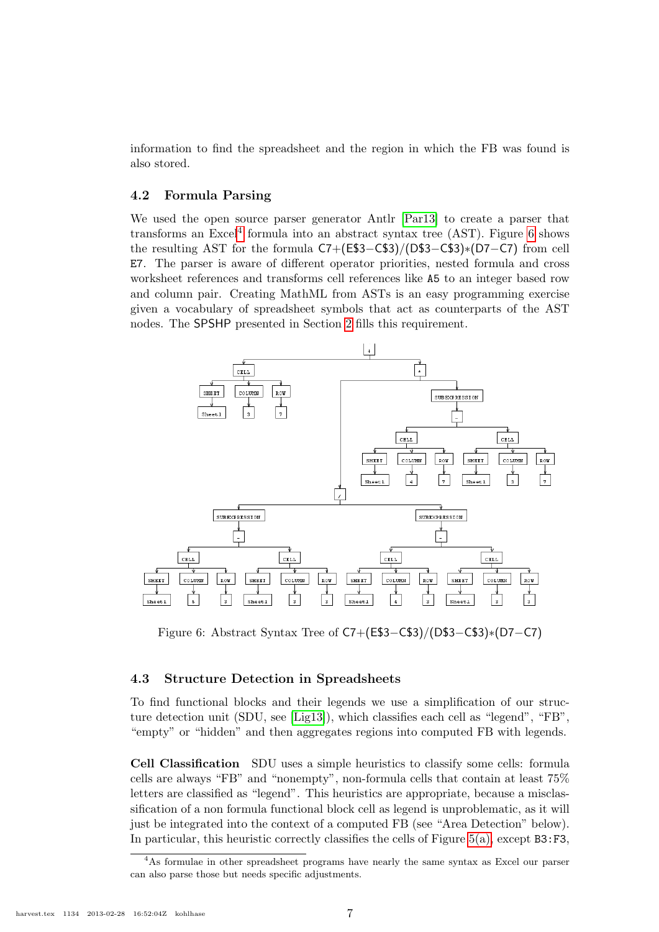information to find the spreadsheet and the region in which the FB was found is also stored.

#### <span id="page-6-0"></span>4.2 Formula Parsing

We used the open source parser generator Antlr [\[Par13\]](#page-11-9) to create a parser that transforms an Excel<sup>[4](#page-6-2)</sup> formula into an abstract syntax tree  $(AST)$ . Figure [6](#page-6-3) shows the resulting AST for the formula C7+(E\$3−C\$3)/(D\$3−C\$3)∗(D7−C7) from cell E7. The parser is aware of different operator priorities, nested formula and cross worksheet references and transforms cell references like A5 to an integer based row and column pair. Creating MathML from ASTs is an easy programming exercise given a vocabulary of spreadsheet symbols that act as counterparts of the AST nodes. The SPSHP presented in Section [2](#page-1-0) fills this requirement.



<span id="page-6-3"></span>Figure 6: Abstract Syntax Tree of C7+(E\$3−C\$3)/(D\$3−C\$3)∗(D7−C7)

#### <span id="page-6-1"></span>4.3 Structure Detection in Spreadsheets

To find functional blocks and their legends we use a simplification of our structure detection unit (SDU, see [\[Lig13\]](#page-11-10)), which classifies each cell as "legend", "FB", "empty" or "hidden" and then aggregates regions into computed FB with legends.

Cell Classification SDU uses a simple heuristics to classify some cells: formula cells are always "FB" and "nonempty", non-formula cells that contain at least 75% letters are classified as "legend". This heuristics are appropriate, because a misclassification of a non formula functional block cell as legend is unproblematic, as it will just be integrated into the context of a computed FB (see "Area Detection" below). In particular, this heuristic correctly classifies the cells of Figure [5\(a\),](#page-5-1) except B3:F3,

<span id="page-6-2"></span><sup>4</sup>As formulae in other spreadsheet programs have nearly the same syntax as Excel our parser can also parse those but needs specific adjustments.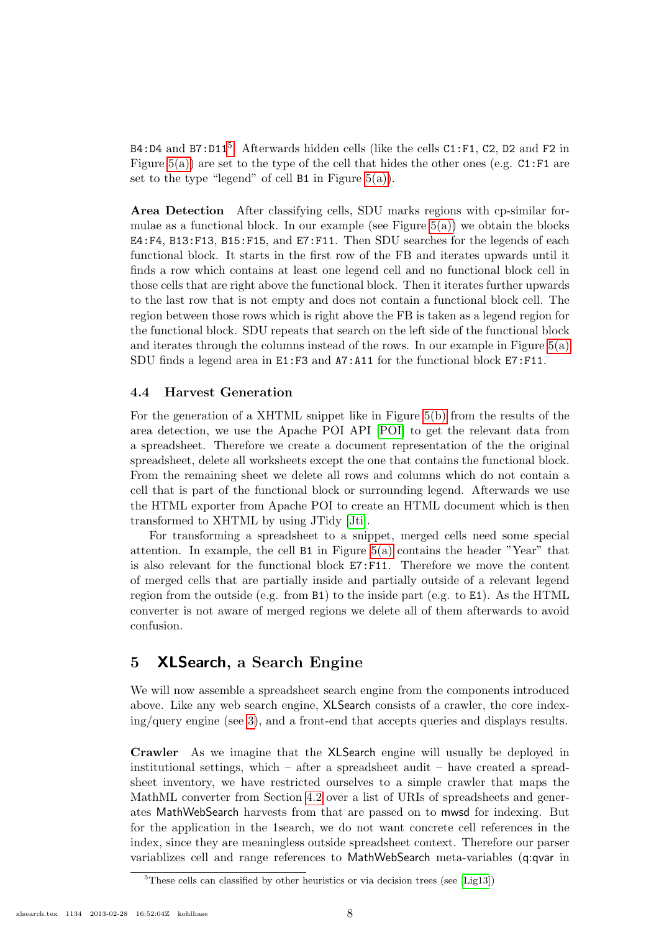B4:D4 and B7:D11<sup>[5](#page-7-2)</sup>. Afterwards hidden cells (like the cells  $C1:F1$ , C2, D2 and F2 in Figure  $5(a)$ ) are set to the type of the cell that hides the other ones (e.g. C1:F1 are set to the type "legend" of cell  $B1$  in Figure  $5(a)$ ).

Area Detection After classifying cells, SDU marks regions with cp-similar formulae as a functional block. In our example (see Figure  $5(a)$ ) we obtain the blocks E4:F4, B13:F13, B15:F15, and E7:F11. Then SDU searches for the legends of each functional block. It starts in the first row of the FB and iterates upwards until it finds a row which contains at least one legend cell and no functional block cell in those cells that are right above the functional block. Then it iterates further upwards to the last row that is not empty and does not contain a functional block cell. The region between those rows which is right above the FB is taken as a legend region for the functional block. SDU repeats that search on the left side of the functional block and iterates through the columns instead of the rows. In our example in Figure [5\(a\)](#page-5-1) SDU finds a legend area in E1:F3 and A7:A11 for the functional block E7:F11.

### <span id="page-7-1"></span>4.4 Harvest Generation

For the generation of a XHTML snippet like in Figure [5\(b\)](#page-5-3) from the results of the area detection, we use the Apache POI API [\[POI\]](#page-11-11) to get the relevant data from a spreadsheet. Therefore we create a document representation of the the original spreadsheet, delete all worksheets except the one that contains the functional block. From the remaining sheet we delete all rows and columns which do not contain a cell that is part of the functional block or surrounding legend. Afterwards we use the HTML exporter from Apache POI to create an HTML document which is then transformed to XHTML by using JTidy [\[Jti\]](#page-10-5).

For transforming a spreadsheet to a snippet, merged cells need some special attention. In example, the cell  $B1$  in Figure [5\(a\)](#page-5-1) contains the header "Year" that is also relevant for the functional block E7:F11. Therefore we move the content of merged cells that are partially inside and partially outside of a relevant legend region from the outside (e.g. from  $B1$ ) to the inside part (e.g. to  $E1$ ). As the HTML converter is not aware of merged regions we delete all of them afterwards to avoid confusion.

### <span id="page-7-0"></span>5 XLSearch, a Search Engine

We will now assemble a spreadsheet search engine from the components introduced above. Like any web search engine, XLSearch consists of a crawler, the core indexing/query engine (see [3\)](#page-4-0), and a front-end that accepts queries and displays results.

Crawler As we imagine that the XLSearch engine will usually be deployed in institutional settings, which – after a spreadsheet audit – have created a spreadsheet inventory, we have restricted ourselves to a simple crawler that maps the MathML converter from Section [4.2](#page-6-0) over a list of URIs of spreadsheets and generates MathWebSearch harvests from that are passed on to mwsd for indexing. But for the application in the 1search, we do not want concrete cell references in the index, since they are meaningless outside spreadsheet context. Therefore our parser variablizes cell and range references to MathWebSearch meta-variables (q:qvar in

<span id="page-7-2"></span><sup>&</sup>lt;sup>5</sup>These cells can classified by other heuristics or via decision trees (see [\[Lig13\]](#page-11-10))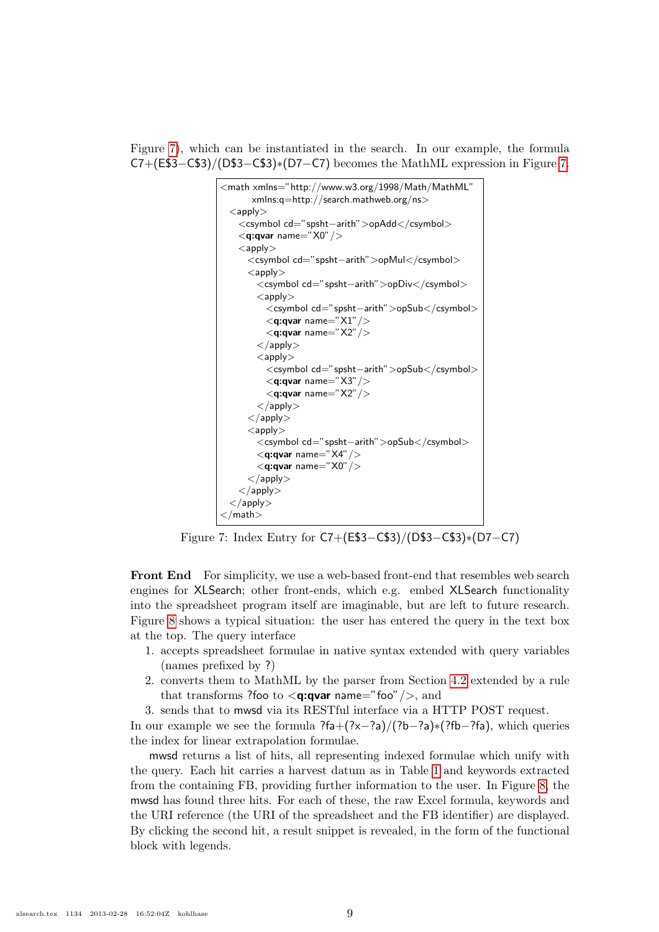Figure [7\)](#page-8-0), which can be instantiated in the search. In our example, the formula C7+(E\$3−C\$3)/(D\$3−C\$3)∗(D7−C7) becomes the MathML expression in Figure [7.](#page-8-0)



<span id="page-8-0"></span>Figure 7: Index Entry for C7+(E\$3−C\$3)/(D\$3−C\$3)∗(D7−C7)

Front End For simplicity, we use a web-based front-end that resembles web search engines for XLSearch; other front-ends, which e.g. embed XLSearch functionality into the spreadsheet program itself are imaginable, but are left to future research. Figure [8](#page-9-1) shows a typical situation: the user has entered the query in the text box at the top. The query interface

- 1. accepts spreadsheet formulae in native syntax extended with query variables (names prefixed by ?)
- 2. converts them to MathML by the parser from Section [4.2](#page-6-0) extended by a rule that transforms ?foo to  $\langle q:qvar$  name="foo"/>, and
- 3. sends that to mwsd via its RESTful interface via a HTTP POST request.

In our example we see the formula ?fa+(?x−?a)/(?b−?a)∗(?fb−?fa), which queries the index for linear extrapolation formulae.

mwsd returns a list of hits, all representing indexed formulae which unify with the query. Each hit carries a harvest datum as in Table [1](#page-5-2) and keywords extracted from the containing FB, providing further information to the user. In Figure [8,](#page-9-1) the mwsd has found three hits. For each of these, the raw Excel formula, keywords and the URI reference (the URI of the spreadsheet and the FB identifier) are displayed. By clicking the second hit, a result snippet is revealed, in the form of the functional block with legends.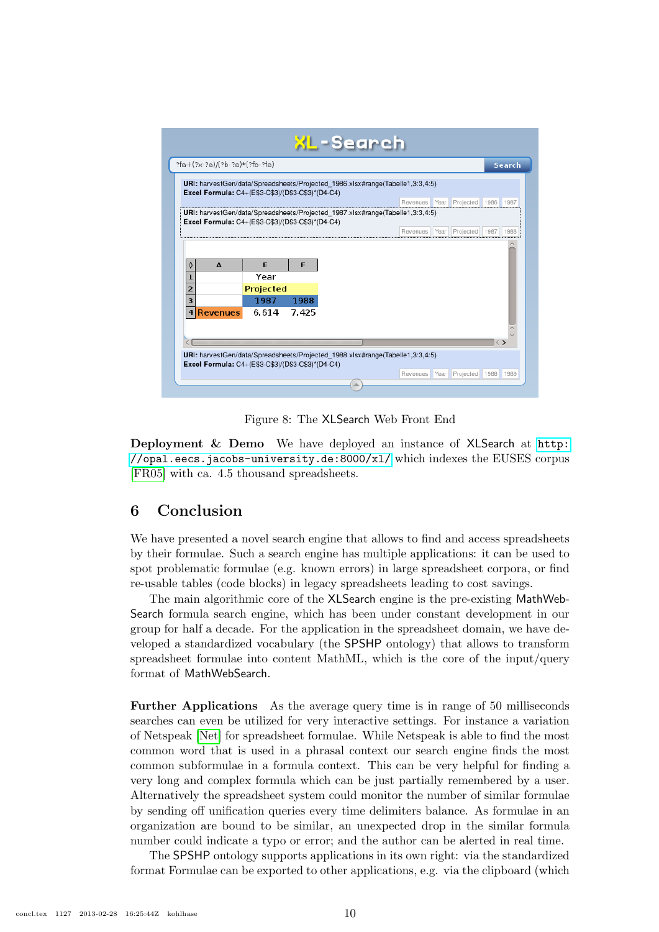|   |                 | ?fa+(?x-?a)/(?b-?a)*(?fb-?fa)                                                                                                      |               |  |          |      |                                   |      | Search |
|---|-----------------|------------------------------------------------------------------------------------------------------------------------------------|---------------|--|----------|------|-----------------------------------|------|--------|
|   |                 | URI: harvestGen/data/Spreadsheets/Projected 1986.xlsx#range(Tabelle1,3:3,4:5)<br>Excel Formula: C4+(E\$3-C\$3)/(D\$3-C\$3)*(D4-C4) |               |  |          |      |                                   |      |        |
|   |                 |                                                                                                                                    |               |  |          |      | Revenues Year Projected 1986 1987 |      |        |
|   |                 | URI: harvestGen/data/Spreadsheets/Projected_1987.xlsx#range(Tabelle1,3:3,4:5)                                                      |               |  |          |      |                                   |      |        |
|   |                 | Excel Formula: C4+(E\$3-C\$3)/(D\$3-C\$3)*(D4-C4)                                                                                  |               |  |          |      |                                   |      |        |
|   |                 |                                                                                                                                    |               |  | Revenues | Year | Projected                         | 1987 | 1988   |
|   | $\Delta$        | F                                                                                                                                  | F             |  |          |      |                                   |      |        |
| 3 | <b>Revenues</b> | Year<br>Projected<br>1987<br>6.614                                                                                                 | 1988<br>7.425 |  |          |      |                                   |      |        |

<span id="page-9-1"></span>Figure 8: The XLSearch Web Front End

Deployment & Demo We have deployed an instance of XLSearch at [http:](http://opal.eecs.jacobs-university.de:8000/xl/) [//opal.eecs.jacobs-university.de:8000/xl/](http://opal.eecs.jacobs-university.de:8000/xl/) which indexes the EUSES corpus [\[FR05\]](#page-10-1) with ca. 4.5 thousand spreadsheets.

### <span id="page-9-0"></span>6 Conclusion

We have presented a novel search engine that allows to find and access spreadsheets by their formulae. Such a search engine has multiple applications: it can be used to spot problematic formulae (e.g. known errors) in large spreadsheet corpora, or find re-usable tables (code blocks) in legacy spreadsheets leading to cost savings.

The main algorithmic core of the XLSearch engine is the pre-existing MathWeb-Search formula search engine, which has been under constant development in our group for half a decade. For the application in the spreadsheet domain, we have developed a standardized vocabulary (the SPSHP ontology) that allows to transform spreadsheet formulae into content MathML, which is the core of the input/query format of MathWebSearch.

Further Applications As the average query time is in range of 50 milliseconds searches can even be utilized for very interactive settings. For instance a variation of Netspeak [\[Net\]](#page-11-12) for spreadsheet formulae. While Netspeak is able to find the most common word that is used in a phrasal context our search engine finds the most common subformulae in a formula context. This can be very helpful for finding a very long and complex formula which can be just partially remembered by a user. Alternatively the spreadsheet system could monitor the number of similar formulae by sending off unification queries every time delimiters balance. As formulae in an organization are bound to be similar, an unexpected drop in the similar formula number could indicate a typo or error; and the author can be alerted in real time.

The SPSHP ontology supports applications in its own right: via the standardized format Formulae can be exported to other applications, e.g. via the clipboard (which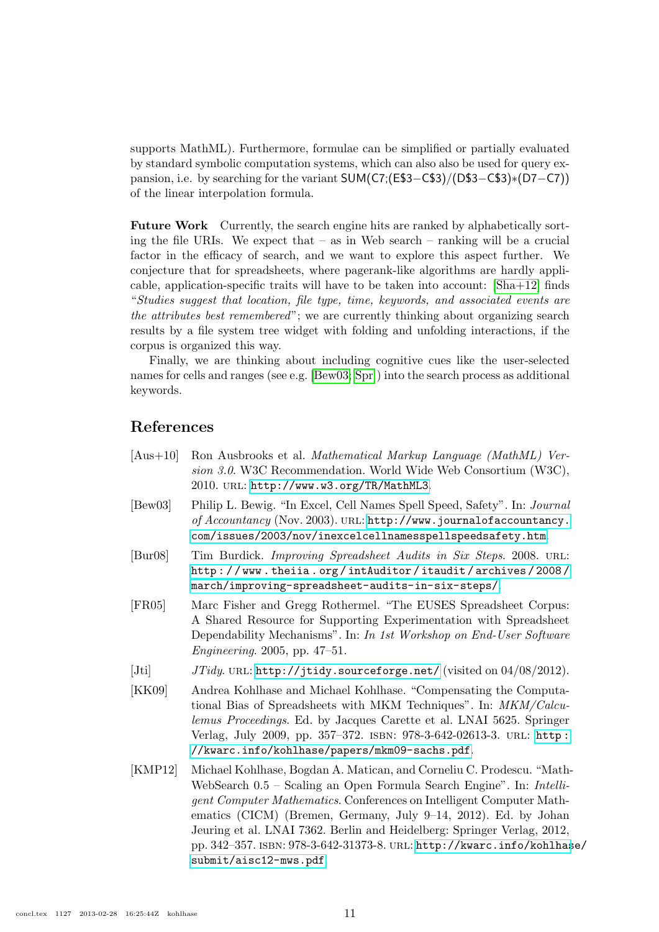supports MathML). Furthermore, formulae can be simplified or partially evaluated by standard symbolic computation systems, which can also also be used for query expansion, i.e. by searching for the variant SUM(C7;(E\$3−C\$3)/(D\$3−C\$3)∗(D7−C7)) of the linear interpolation formula.

Future Work Currently, the search engine hits are ranked by alphabetically sorting the file URIs. We expect that  $-$  as in Web search  $-$  ranking will be a crucial factor in the efficacy of search, and we want to explore this aspect further. We conjecture that for spreadsheets, where pagerank-like algorithms are hardly applicable, application-specific traits will have to be taken into account: [\[Sha+12\]](#page-11-13) finds "Studies suggest that location, file type, time, keywords, and associated events are the attributes best remembered"; we are currently thinking about organizing search results by a file system tree widget with folding and unfolding interactions, if the corpus is organized this way.

Finally, we are thinking about including cognitive cues like the user-selected names for cells and ranges (see e.g. [\[Bew03;](#page-10-6) [Spr\]](#page-11-14)) into the search process as additional keywords.

### References

- <span id="page-10-2"></span>[Aus+10] Ron Ausbrooks et al. Mathematical Markup Language (MathML) Version 3.0. W3C Recommendation. World Wide Web Consortium (W3C), 2010. url: <http://www.w3.org/TR/MathML3>.
- <span id="page-10-6"></span>[Bew03] Philip L. Bewig. "In Excel, Cell Names Spell Speed, Safety". In: Journal of  $Accountancy$  (Nov. 2003). URL: [http://www.journalofaccountancy.](http://www.journalofaccountancy.com/issues/2003/nov/inexcelcellnamesspellspeedsafety.htm) [com/issues/2003/nov/inexcelcellnamesspellspeedsafety.htm](http://www.journalofaccountancy.com/issues/2003/nov/inexcelcellnamesspellspeedsafety.htm).
- <span id="page-10-0"></span>[Bur08] Tim Burdick. Improving Spreadsheet Audits in Six Steps. 2008. url: [http : / / www . theiia . org / intAuditor / itaudit / archives / 2008 /](http://www.theiia.org/intAuditor/itaudit/archives/2008/march/improving-spreadsheet-audits-in-six-steps/) [march/improving-spreadsheet-audits-in-six-steps/](http://www.theiia.org/intAuditor/itaudit/archives/2008/march/improving-spreadsheet-audits-in-six-steps/).
- <span id="page-10-1"></span>[FR05] Marc Fisher and Gregg Rothermel. "The EUSES Spreadsheet Corpus: A Shared Resource for Supporting Experimentation with Spreadsheet Dependability Mechanisms". In: In 1st Workshop on End-User Software Engineering. 2005, pp. 47–51.
- <span id="page-10-5"></span>[Jti]  $JTidy$ . URL: <http://jtidy.sourceforge.net/> (visited on  $04/08/2012$ ).
- <span id="page-10-4"></span>[KK09] Andrea Kohlhase and Michael Kohlhase. "Compensating the Computational Bias of Spreadsheets with MKM Techniques". In: MKM/Calculemus Proceedings. Ed. by Jacques Carette et al. LNAI 5625. Springer Verlag, July 2009, pp. 357–372. isbn: 978-3-642-02613-3. url: [http :](http://kwarc.info/kohlhase/papers/mkm09-sachs.pdf) [//kwarc.info/kohlhase/papers/mkm09-sachs.pdf](http://kwarc.info/kohlhase/papers/mkm09-sachs.pdf).
- <span id="page-10-3"></span>[KMP12] Michael Kohlhase, Bogdan A. Matican, and Corneliu C. Prodescu. "Math-WebSearch 0.5 – Scaling an Open Formula Search Engine". In: Intelligent Computer Mathematics. Conferences on Intelligent Computer Mathematics (CICM) (Bremen, Germany, July 9–14, 2012). Ed. by Johan Jeuring et al. LNAI 7362. Berlin and Heidelberg: Springer Verlag, 2012, pp. 342–357. isbn: 978-3-642-31373-8. url: [http://kwarc.info/kohlhas](http://kwarc.info/kohlhase/submit/aisc12-mws.pdf)e/ [submit/aisc12-mws.pdf](http://kwarc.info/kohlhase/submit/aisc12-mws.pdf).